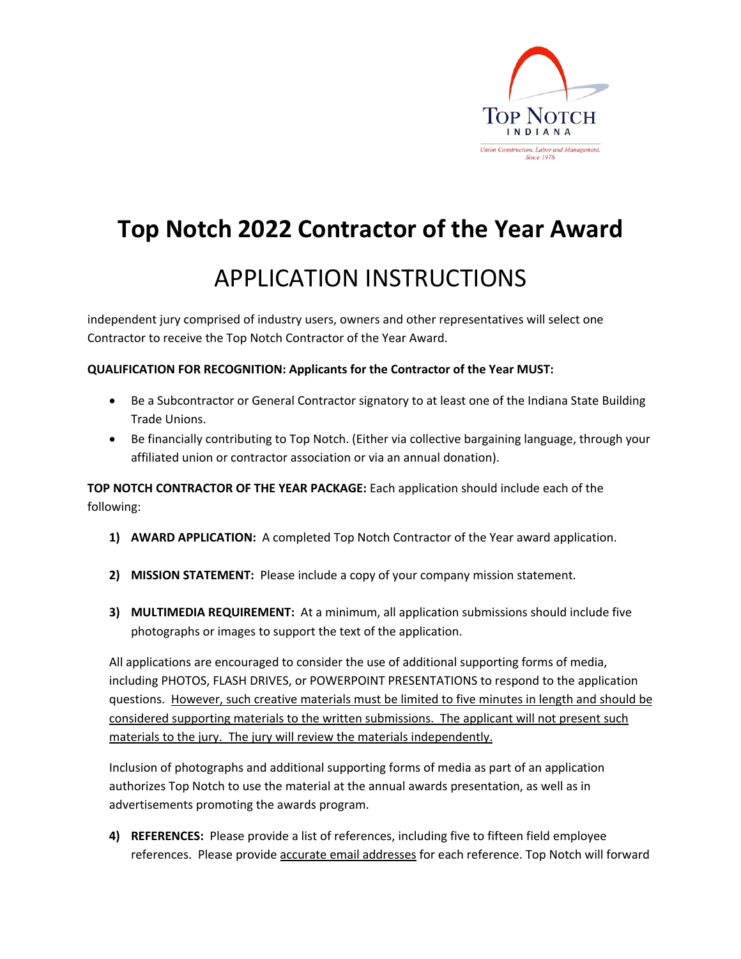

### **Top Notch 2022 Contractor of the Year Award**

### APPLICATION INSTRUCTIONS

independent jury comprised of industry users, owners and other representatives will select one Contractor to receive the Top Notch Contractor of the Year Award.

#### **QUALIFICATION FOR RECOGNITION: Applicants for the Contractor of the Year MUST:**

- Be a Subcontractor or General Contractor signatory to at least one of the Indiana State Building Trade Unions.
- Be financially contributing to Top Notch. (Either via collective bargaining language, through your affiliated union or contractor association or via an annual donation).

**TOP NOTCH CONTRACTOR OF THE YEAR PACKAGE:** Each application should include each of the following:

- **1) AWARD APPLICATION:** A completed Top Notch Contractor of the Year award application.
- **2) MISSION STATEMENT:** Please include a copy of your company mission statement.
- **3) MULTIMEDIA REQUIREMENT:** At a minimum, all application submissions should include five photographs or images to support the text of the application.

All applications are encouraged to consider the use of additional supporting forms of media, including PHOTOS, FLASH DRIVES, or POWERPOINT PRESENTATIONS to respond to the application questions. However, such creative materials must be limited to five minutes in length and should be considered supporting materials to the written submissions. The applicant will not present such materials to the jury. The jury will review the materials independently.

Inclusion of photographs and additional supporting forms of media as part of an application authorizes Top Notch to use the material at the annual awards presentation, as well as in advertisements promoting the awards program.

**4) REFERENCES:** Please provide a list of references, including five to fifteen field employee references. Please provide **accurate email addresses** for each reference. Top Notch will forward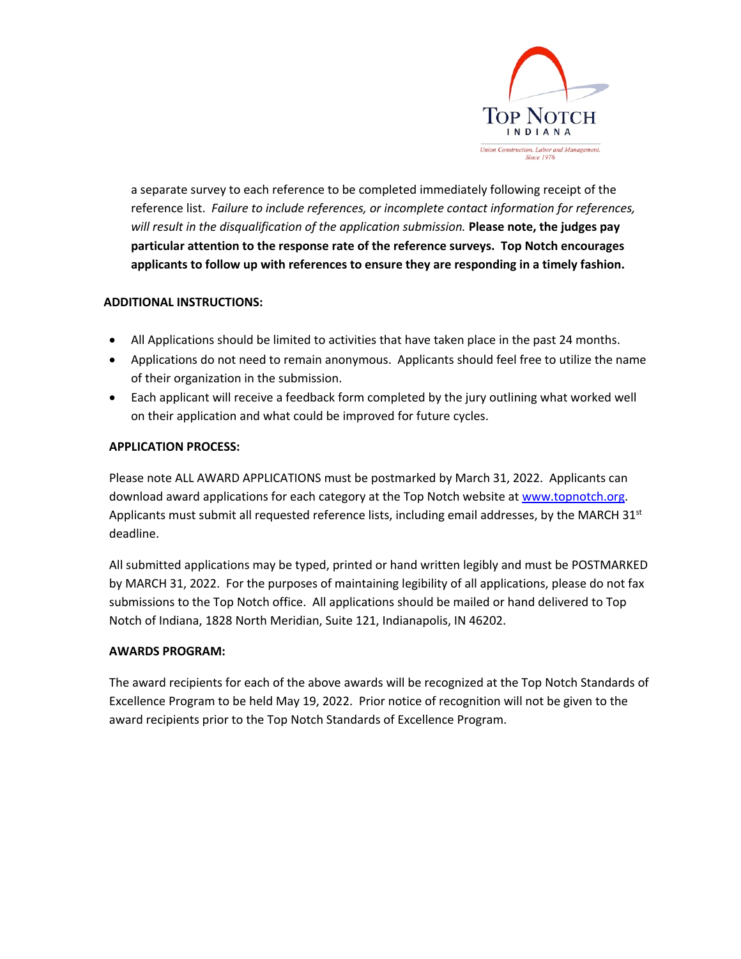

a separate survey to each reference to be completed immediately following receipt of the reference list. *Failure to include references, or incomplete contact information for references, will result in the disqualification of the application submission.* **Please note, the judges pay particular attention to the response rate of the reference surveys. Top Notch encourages applicants to follow up with references to ensure they are responding in a timely fashion.** 

### **ADDITIONAL INSTRUCTIONS:**

- All Applications should be limited to activities that have taken place in the past 24 months.
- Applications do not need to remain anonymous. Applicants should feel free to utilize the name of their organization in the submission.
- Each applicant will receive a feedback form completed by the jury outlining what worked well on their application and what could be improved for future cycles.

#### **APPLICATION PROCESS:**

Please note ALL AWARD APPLICATIONS must be postmarked by March 31, 2022. Applicants can download award applications for each category at the Top Notch website at www.topnotch.org. Applicants must submit all requested reference lists, including email addresses, by the MARCH  $31<sup>st</sup>$ deadline.

All submitted applications may be typed, printed or hand written legibly and must be POSTMARKED by MARCH 31, 2022. For the purposes of maintaining legibility of all applications, please do not fax submissions to the Top Notch office. All applications should be mailed or hand delivered to Top Notch of Indiana, 1828 North Meridian, Suite 121, Indianapolis, IN 46202.

#### **AWARDS PROGRAM:**

The award recipients for each of the above awards will be recognized at the Top Notch Standards of Excellence Program to be held May 19, 2022. Prior notice of recognition will not be given to the award recipients prior to the Top Notch Standards of Excellence Program.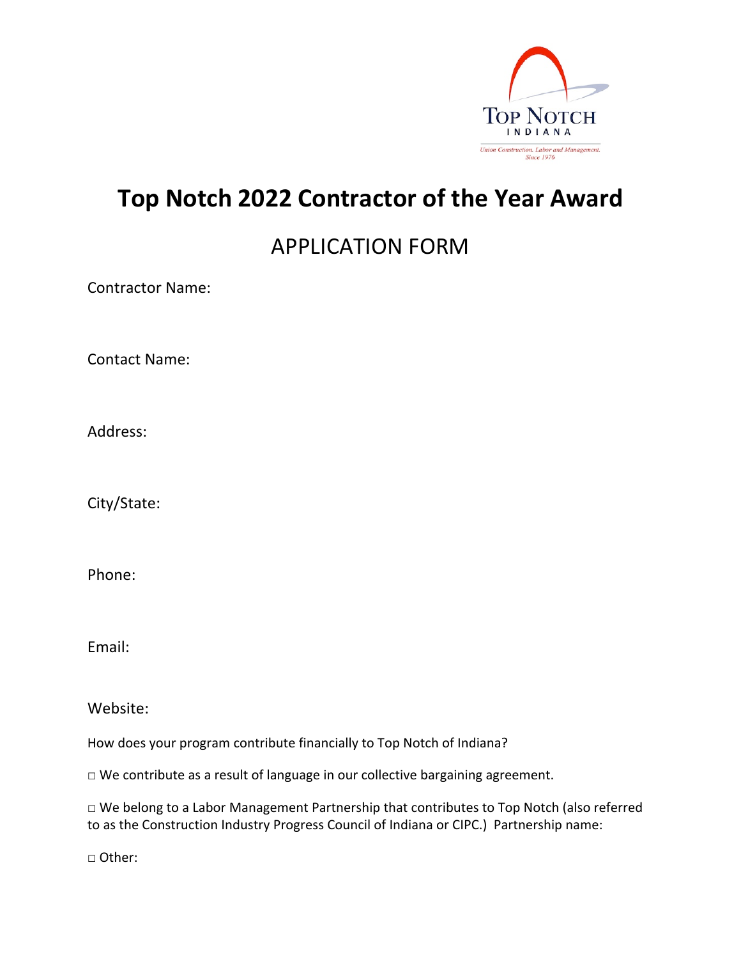

## **Top Notch 2022 Contractor of the Year Award**

### APPLICATION FORM

Contractor Name:

Contact Name:

Address:

City/State:

Phone:

Email:

Website:

How does your program contribute financially to Top Notch of Indiana?

□ We contribute as a result of language in our collective bargaining agreement.

□ We belong to a Labor Management Partnership that contributes to Top Notch (also referred to as the Construction Industry Progress Council of Indiana or CIPC.) Partnership name:

□ Other: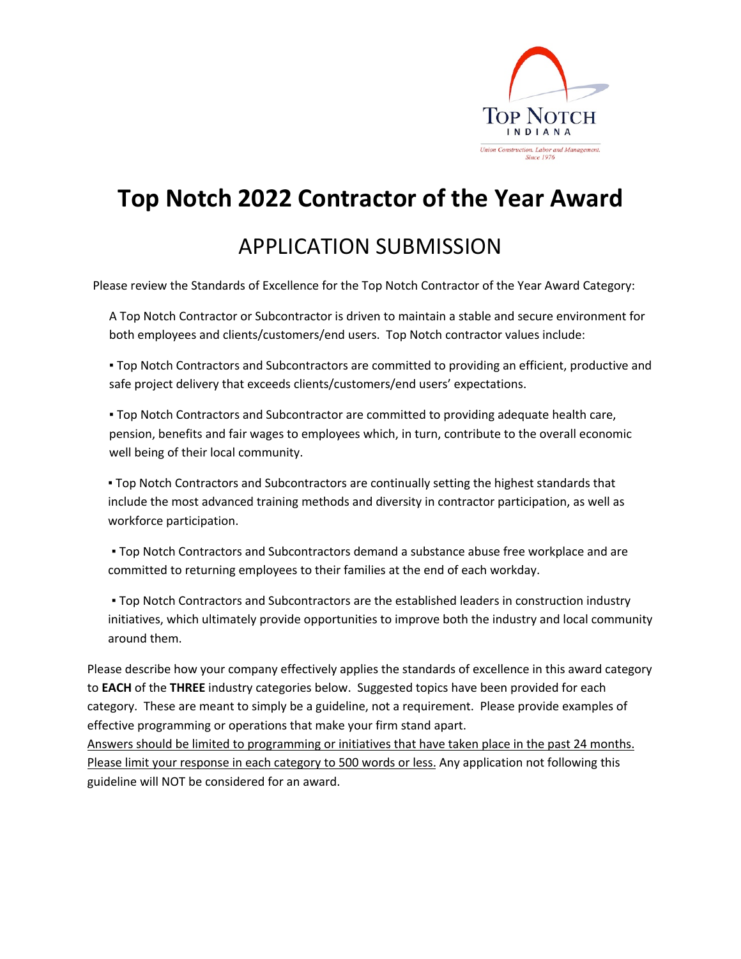

# **Top Notch 2022 Contractor of the Year Award**

### APPLICATION SUBMISSION

Please review the Standards of Excellence for the Top Notch Contractor of the Year Award Category:

A Top Notch Contractor or Subcontractor is driven to maintain a stable and secure environment for both employees and clients/customers/end users. Top Notch contractor values include:

▪ Top Notch Contractors and Subcontractors are committed to providing an efficient, productive and safe project delivery that exceeds clients/customers/end users' expectations.

▪ Top Notch Contractors and Subcontractor are committed to providing adequate health care, pension, benefits and fair wages to employees which, in turn, contribute to the overall economic well being of their local community.

▪ Top Notch Contractors and Subcontractors are continually setting the highest standards that include the most advanced training methods and diversity in contractor participation, as well as workforce participation.

▪ Top Notch Contractors and Subcontractors demand a substance abuse free workplace and are committed to returning employees to their families at the end of each workday.

▪ Top Notch Contractors and Subcontractors are the established leaders in construction industry initiatives, which ultimately provide opportunities to improve both the industry and local community around them.

 Please describe how your company effectively applies the standards of excellence in this award category to **EACH** of the **THREE** industry categories below. Suggested topics have been provided for each category. These are meant to simply be a guideline, not a requirement. Please provide examples of effective programming or operations that make your firm stand apart.

 Answers should be limited to programming or initiatives that have taken place in the past 24 months. Please limit your response in each category to 500 words or less. Any application not following this guideline will NOT be considered for an award.